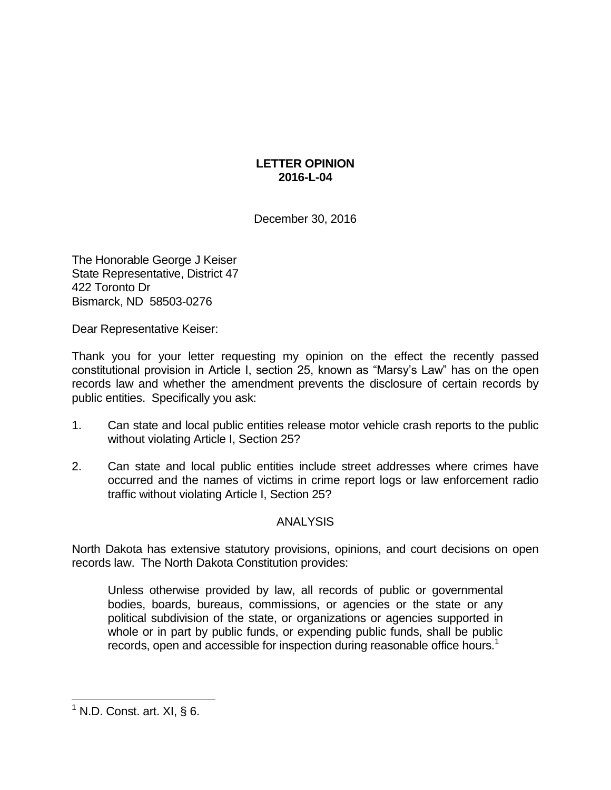## **LETTER OPINION 2016-L-04**

December 30, 2016

The Honorable George J Keiser State Representative, District 47 422 Toronto Dr Bismarck, ND 58503-0276

Dear Representative Keiser:

Thank you for your letter requesting my opinion on the effect the recently passed constitutional provision in Article I, section 25, known as "Marsy's Law" has on the open records law and whether the amendment prevents the disclosure of certain records by public entities. Specifically you ask:

- 1. Can state and local public entities release motor vehicle crash reports to the public without violating Article I, Section 25?
- 2. Can state and local public entities include street addresses where crimes have occurred and the names of victims in crime report logs or law enforcement radio traffic without violating Article I, Section 25?

## ANALYSIS

North Dakota has extensive statutory provisions, opinions, and court decisions on open records law. The North Dakota Constitution provides:

Unless otherwise provided by law, all records of public or governmental bodies, boards, bureaus, commissions, or agencies or the state or any political subdivision of the state, or organizations or agencies supported in whole or in part by public funds, or expending public funds, shall be public records, open and accessible for inspection during reasonable office hours.<sup>1</sup>

 $1$  N.D. Const. art. XI, § 6.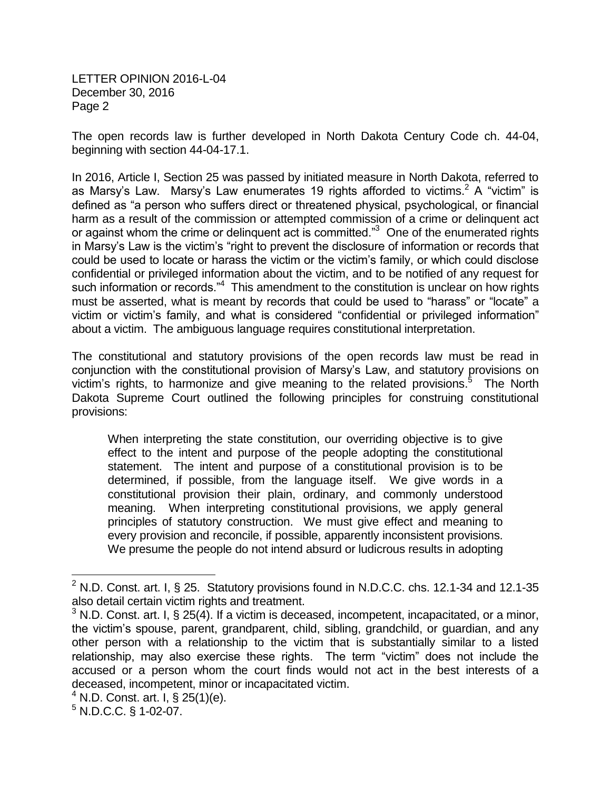The open records law is further developed in North Dakota Century Code ch. 44-04, beginning with section 44-04-17.1.

In 2016, Article I, Section 25 was passed by initiated measure in North Dakota, referred to as Marsy's Law. Marsy's Law enumerates 19 rights afforded to victims.<sup>2</sup> A "victim" is defined as "a person who suffers direct or threatened physical, psychological, or financial harm as a result of the commission or attempted commission of a crime or delinquent act or against whom the crime or delinquent act is committed." $3$  One of the enumerated rights in Marsy's Law is the victim's "right to prevent the disclosure of information or records that could be used to locate or harass the victim or the victim's family, or which could disclose confidential or privileged information about the victim, and to be notified of any request for such information or records."<sup>4</sup> This amendment to the constitution is unclear on how rights must be asserted, what is meant by records that could be used to "harass" or "locate" a victim or victim's family, and what is considered "confidential or privileged information" about a victim. The ambiguous language requires constitutional interpretation.

The constitutional and statutory provisions of the open records law must be read in conjunction with the constitutional provision of Marsy's Law, and statutory provisions on victim's rights, to harmonize and give meaning to the related provisions.<sup>5</sup> The North Dakota Supreme Court outlined the following principles for construing constitutional provisions:

When interpreting the state constitution, our overriding objective is to give effect to the intent and purpose of the people adopting the constitutional statement. The intent and purpose of a constitutional provision is to be determined, if possible, from the language itself. We give words in a constitutional provision their plain, ordinary, and commonly understood meaning. When interpreting constitutional provisions, we apply general principles of statutory construction. We must give effect and meaning to every provision and reconcile, if possible, apparently inconsistent provisions. We presume the people do not intend absurd or ludicrous results in adopting

 $2$  N.D. Const. art. I, § 25. Statutory provisions found in N.D.C.C. chs. 12.1-34 and 12.1-35 also detail certain victim rights and treatment.

 $3$  N.D. Const. art. I, § 25(4). If a victim is deceased, incompetent, incapacitated, or a minor, the victim's spouse, parent, grandparent, child, sibling, grandchild, or guardian, and any other person with a relationship to the victim that is substantially similar to a listed relationship, may also exercise these rights. The term "victim" does not include the accused or a person whom the court finds would not act in the best interests of a deceased, incompetent, minor or incapacitated victim.

 $^{4}$  N.D. Const. art. I, § 25(1)(e).

 $5$  N.D.C.C. § 1-02-07.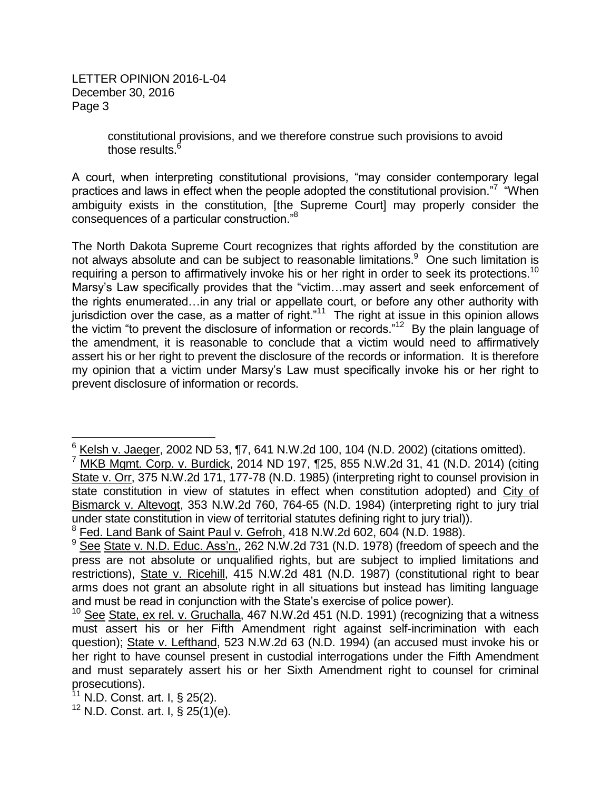> constitutional provisions, and we therefore construe such provisions to avoid those results.<sup>6</sup>

A court, when interpreting constitutional provisions, "may consider contemporary legal practices and laws in effect when the people adopted the constitutional provision."<sup>7</sup> "When ambiguity exists in the constitution, [the Supreme Court] may properly consider the consequences of a particular construction."<sup>8</sup>

The North Dakota Supreme Court recognizes that rights afforded by the constitution are not always absolute and can be subject to reasonable limitations.<sup>9</sup> One such limitation is requiring a person to affirmatively invoke his or her right in order to seek its protections.<sup>10</sup> Marsy's Law specifically provides that the "victim…may assert and seek enforcement of the rights enumerated…in any trial or appellate court, or before any other authority with jurisdiction over the case, as a matter of right."<sup>11</sup> The right at issue in this opinion allows the victim "to prevent the disclosure of information or records." $12$  By the plain language of the amendment, it is reasonable to conclude that a victim would need to affirmatively assert his or her right to prevent the disclosure of the records or information. It is therefore my opinion that a victim under Marsy's Law must specifically invoke his or her right to prevent disclosure of information or records.

 $6$  Kelsh v. Jaeger, 2002 ND 53, ¶7, 641 N.W.2d 100, 104 (N.D. 2002) (citations omitted).

<sup>7</sup> MKB Mgmt. Corp. v. Burdick, 2014 ND 197, ¶25, 855 N.W.2d 31, 41 (N.D. 2014) (citing State v. Orr, 375 N.W.2d 171, 177-78 (N.D. 1985) (interpreting right to counsel provision in state constitution in view of statutes in effect when constitution adopted) and City of Bismarck v. Altevogt, 353 N.W.2d 760, 764-65 (N.D. 1984) (interpreting right to jury trial under state constitution in view of territorial statutes defining right to jury trial)).

<sup>&</sup>lt;sup>8</sup> Fed. Land Bank of Saint Paul v. Gefroh, 418 N.W.2d 602, 604 (N.D. 1988).

<sup>9</sup> See State v. N.D. Educ. Ass'n., 262 N.W.2d 731 (N.D. 1978) (freedom of speech and the press are not absolute or unqualified rights, but are subject to implied limitations and restrictions), State v. Ricehill, 415 N.W.2d 481 (N.D. 1987) (constitutional right to bear arms does not grant an absolute right in all situations but instead has limiting language and must be read in conjunction with the State's exercise of police power).

<sup>&</sup>lt;sup>10</sup> See State, ex rel. v. Gruchalla, 467 N.W.2d 451 (N.D. 1991) (recognizing that a witness must assert his or her Fifth Amendment right against self-incrimination with each question); State v. Lefthand, 523 N.W.2d 63 (N.D. 1994) (an accused must invoke his or her right to have counsel present in custodial interrogations under the Fifth Amendment and must separately assert his or her Sixth Amendment right to counsel for criminal prosecutions).

 $11$  N.D. Const. art. I, § 25(2).

<sup>&</sup>lt;sup>12</sup> N.D. Const. art. I, § 25(1)(e).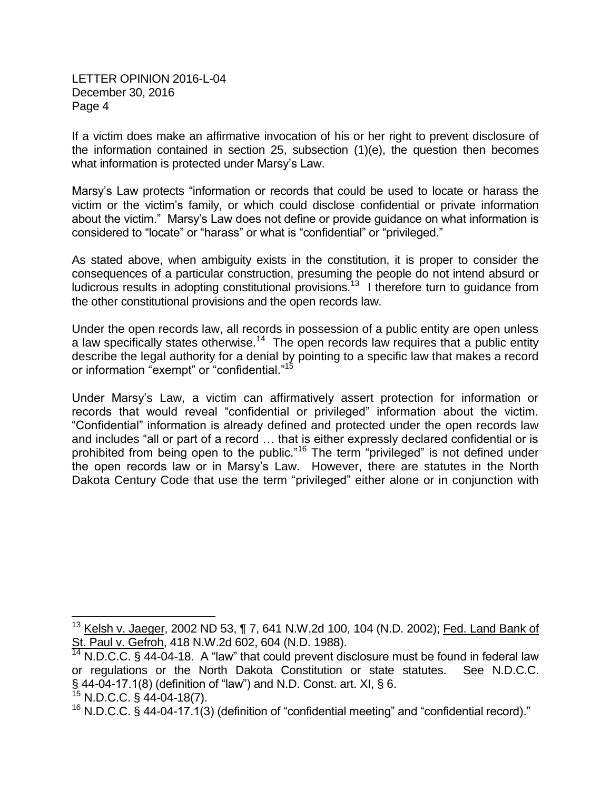If a victim does make an affirmative invocation of his or her right to prevent disclosure of the information contained in section 25, subsection (1)(e), the question then becomes what information is protected under Marsy's Law.

Marsy's Law protects "information or records that could be used to locate or harass the victim or the victim's family, or which could disclose confidential or private information about the victim." Marsy's Law does not define or provide guidance on what information is considered to "locate" or "harass" or what is "confidential" or "privileged."

As stated above, when ambiguity exists in the constitution, it is proper to consider the consequences of a particular construction, presuming the people do not intend absurd or ludicrous results in adopting constitutional provisions.<sup>13</sup> I therefore turn to guidance from the other constitutional provisions and the open records law.

Under the open records law, all records in possession of a public entity are open unless a law specifically states otherwise.<sup>14</sup> The open records law requires that a public entity describe the legal authority for a denial by pointing to a specific law that makes a record or information "exempt" or "confidential."<sup>15</sup>

Under Marsy's Law, a victim can affirmatively assert protection for information or records that would reveal "confidential or privileged" information about the victim. "Confidential" information is already defined and protected under the open records law and includes "all or part of a record … that is either expressly declared confidential or is prohibited from being open to the public."<sup>16</sup> The term "privileged" is not defined under the open records law or in Marsy's Law. However, there are statutes in the North Dakota Century Code that use the term "privileged" either alone or in conjunction with

<sup>&</sup>lt;sup>13</sup> Kelsh v. Jaeger, 2002 ND 53, ¶ 7, 641 N.W.2d 100, 104 (N.D. 2002); <u>Fed. Land Bank of</u> St. Paul v. Gefroh, 418 N.W.2d 602, 604 (N.D. 1988).

 $14$  N.D.C.C. § 44-04-18. A "law" that could prevent disclosure must be found in federal law or regulations or the North Dakota Constitution or state statutes. See N.D.C.C. § 44-04-17.1(8) (definition of "law") and N.D. Const. art. XI, § 6.

 $^{15}$  N.D.C.C. § 44-04-18(7).

 $16$  N.D.C.C. § 44-04-17.1(3) (definition of "confidential meeting" and "confidential record)."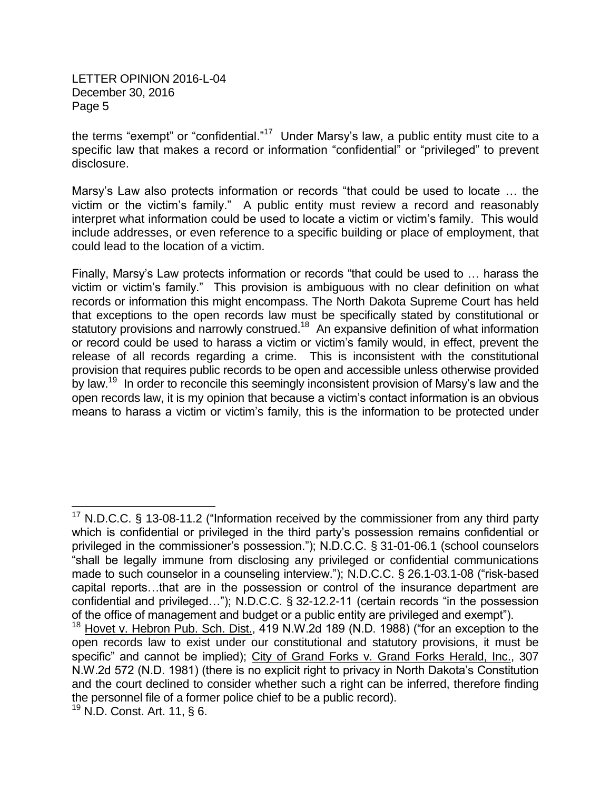the terms "exempt" or "confidential."<sup>17</sup> Under Marsy's law, a public entity must cite to a specific law that makes a record or information "confidential" or "privileged" to prevent disclosure.

Marsy's Law also protects information or records "that could be used to locate … the victim or the victim's family." A public entity must review a record and reasonably interpret what information could be used to locate a victim or victim's family. This would include addresses, or even reference to a specific building or place of employment, that could lead to the location of a victim.

Finally, Marsy's Law protects information or records "that could be used to … harass the victim or victim's family." This provision is ambiguous with no clear definition on what records or information this might encompass. The North Dakota Supreme Court has held that exceptions to the open records law must be specifically stated by constitutional or statutory provisions and narrowly construed.<sup>18</sup> An expansive definition of what information or record could be used to harass a victim or victim's family would, in effect, prevent the release of all records regarding a crime. This is inconsistent with the constitutional provision that requires public records to be open and accessible unless otherwise provided by law.<sup>19</sup> In order to reconcile this seemingly inconsistent provision of Marsy's law and the open records law, it is my opinion that because a victim's contact information is an obvious means to harass a victim or victim's family, this is the information to be protected under

<sup>&</sup>lt;sup>17</sup> N.D.C.C. § 13-08-11.2 ("Information received by the commissioner from any third party which is confidential or privileged in the third party's possession remains confidential or privileged in the commissioner's possession."); N.D.C.C. § 31-01-06.1 (school counselors "shall be legally immune from disclosing any privileged or confidential communications made to such counselor in a counseling interview."); N.D.C.C. § 26.1-03.1-08 ("risk-based capital reports…that are in the possession or control of the insurance department are confidential and privileged…"); N.D.C.C. § 32-12.2-11 (certain records "in the possession of the office of management and budget or a public entity are privileged and exempt").

<sup>&</sup>lt;sup>18</sup> Hovet v. Hebron Pu<u>b. Sch. Dist.</u>, 419 N.W.2d 189 (N.D. 1988) ("for an exception to the open records law to exist under our constitutional and statutory provisions, it must be specific" and cannot be implied); City of Grand Forks v. Grand Forks Herald, Inc., 307 N.W.2d 572 (N.D. 1981) (there is no explicit right to privacy in North Dakota's Constitution and the court declined to consider whether such a right can be inferred, therefore finding the personnel file of a former police chief to be a public record).

<sup>19</sup> N.D. Const. Art. 11, § 6.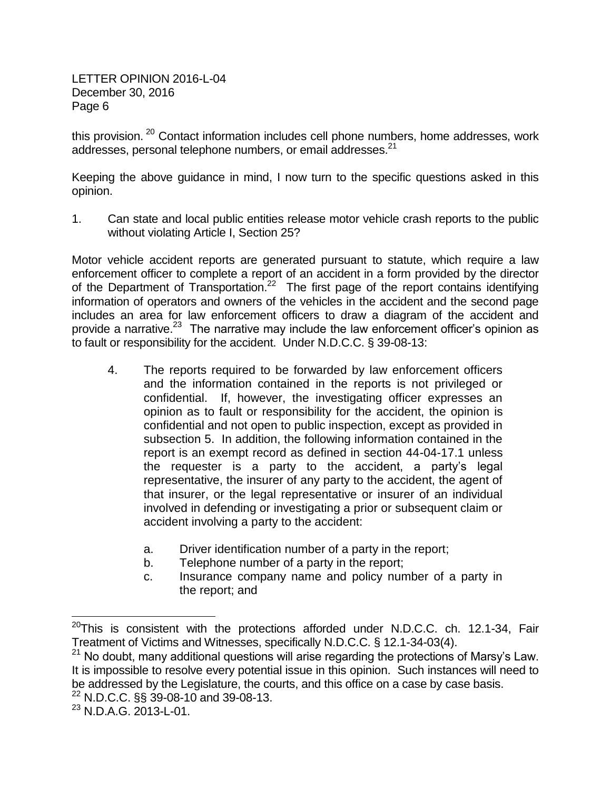this provision.<sup>20</sup> Contact information includes cell phone numbers, home addresses, work addresses, personal telephone numbers, or email addresses.<sup>21</sup>

Keeping the above guidance in mind, I now turn to the specific questions asked in this opinion.

1. Can state and local public entities release motor vehicle crash reports to the public without violating Article I, Section 25?

Motor vehicle accident reports are generated pursuant to statute, which require a law enforcement officer to complete a report of an accident in a form provided by the director of the Department of Transportation.<sup>22</sup> The first page of the report contains identifying information of operators and owners of the vehicles in the accident and the second page includes an area for law enforcement officers to draw a diagram of the accident and provide a narrative. $^{23}$  The narrative may include the law enforcement officer's opinion as to fault or responsibility for the accident. Under N.D.C.C. § 39-08-13:

- 4. The reports required to be forwarded by law enforcement officers and the information contained in the reports is not privileged or confidential. If, however, the investigating officer expresses an opinion as to fault or responsibility for the accident, the opinion is confidential and not open to public inspection, except as provided in subsection 5. In addition, the following information contained in the report is an exempt record as defined in section 44-04-17.1 unless the requester is a party to the accident, a party's legal representative, the insurer of any party to the accident, the agent of that insurer, or the legal representative or insurer of an individual involved in defending or investigating a prior or subsequent claim or accident involving a party to the accident:
	- a. Driver identification number of a party in the report;
	- b. Telephone number of a party in the report;
	- c. Insurance company name and policy number of a party in the report; and

 $^{20}$ This is consistent with the protections afforded under N.D.C.C. ch. 12.1-34, Fair Treatment of Victims and Witnesses, specifically N.D.C.C. § 12.1-34-03(4).

<sup>&</sup>lt;sup>21</sup> No doubt, many additional questions will arise regarding the protections of Marsy's Law. It is impossible to resolve every potential issue in this opinion. Such instances will need to be addressed by the Legislature, the courts, and this office on a case by case basis.

<sup>22</sup> N.D.C.C. §§ 39-08-10 and 39-08-13.

<sup>23</sup> N.D.A.G. 2013-L-01.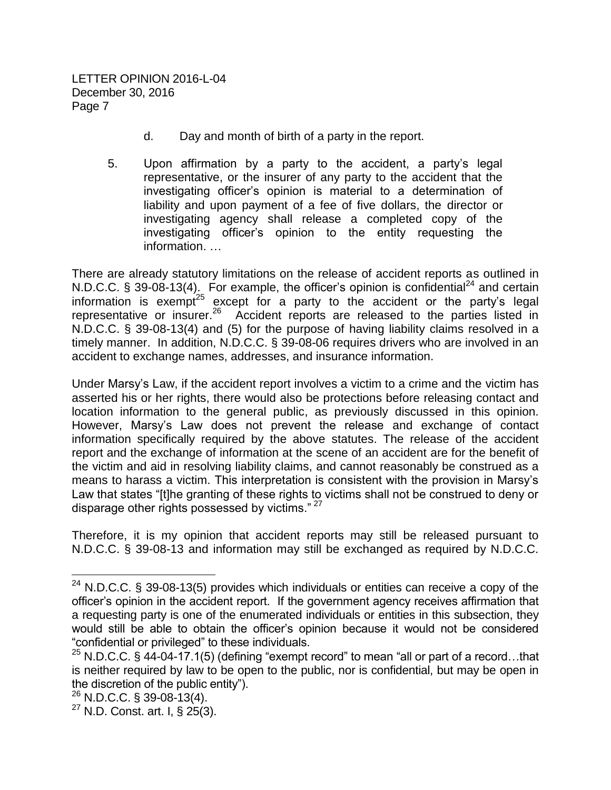- d. Day and month of birth of a party in the report.
- 5. Upon affirmation by a party to the accident, a party's legal representative, or the insurer of any party to the accident that the investigating officer's opinion is material to a determination of liability and upon payment of a fee of five dollars, the director or investigating agency shall release a completed copy of the investigating officer's opinion to the entity requesting the information. …

There are already statutory limitations on the release of accident reports as outlined in N.D.C.C.  $\S$  39-08-13(4). For example, the officer's opinion is confidential<sup>24</sup> and certain information is exempt<sup>25</sup> except for a party to the accident or the party's legal representative or insurer.<sup>26</sup> Accident reports are released to the parties listed in N.D.C.C. § 39-08-13(4) and (5) for the purpose of having liability claims resolved in a timely manner. In addition, N.D.C.C. § 39-08-06 requires drivers who are involved in an accident to exchange names, addresses, and insurance information.

Under Marsy's Law, if the accident report involves a victim to a crime and the victim has asserted his or her rights, there would also be protections before releasing contact and location information to the general public, as previously discussed in this opinion. However, Marsy's Law does not prevent the release and exchange of contact information specifically required by the above statutes. The release of the accident report and the exchange of information at the scene of an accident are for the benefit of the victim and aid in resolving liability claims, and cannot reasonably be construed as a means to harass a victim. This interpretation is consistent with the provision in Marsy's Law that states "[t]he granting of these rights to victims shall not be construed to deny or disparage other rights possessed by victims."<sup>27</sup>

Therefore, it is my opinion that accident reports may still be released pursuant to N.D.C.C. § 39-08-13 and information may still be exchanged as required by N.D.C.C.

 $^{24}$  N.D.C.C. § 39-08-13(5) provides which individuals or entities can receive a copy of the officer's opinion in the accident report. If the government agency receives affirmation that a requesting party is one of the enumerated individuals or entities in this subsection, they would still be able to obtain the officer's opinion because it would not be considered "confidential or privileged" to these individuals.

 $25$  N.D.C.C. § 44-04-17.1(5) (defining "exempt record" to mean "all or part of a record...that is neither required by law to be open to the public, nor is confidential, but may be open in the discretion of the public entity").

 $26$  N.D.C.C. § 39-08-13(4).

 $^{27}$  N.D. Const. art. I, § 25(3).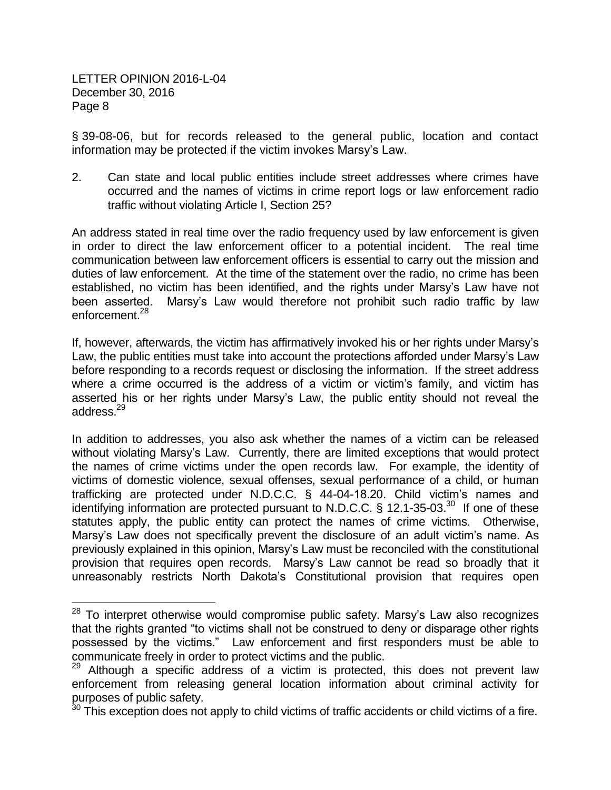$\overline{a}$ 

§ 39-08-06, but for records released to the general public, location and contact information may be protected if the victim invokes Marsy's Law.

2. Can state and local public entities include street addresses where crimes have occurred and the names of victims in crime report logs or law enforcement radio traffic without violating Article I, Section 25?

An address stated in real time over the radio frequency used by law enforcement is given in order to direct the law enforcement officer to a potential incident. The real time communication between law enforcement officers is essential to carry out the mission and duties of law enforcement. At the time of the statement over the radio, no crime has been established, no victim has been identified, and the rights under Marsy's Law have not been asserted. Marsy's Law would therefore not prohibit such radio traffic by law enforcement.<sup>28</sup>

If, however, afterwards, the victim has affirmatively invoked his or her rights under Marsy's Law, the public entities must take into account the protections afforded under Marsy's Law before responding to a records request or disclosing the information. If the street address where a crime occurred is the address of a victim or victim's family, and victim has asserted his or her rights under Marsy's Law, the public entity should not reveal the address.<sup>29</sup>

In addition to addresses, you also ask whether the names of a victim can be released without violating Marsy's Law. Currently, there are limited exceptions that would protect the names of crime victims under the open records law. For example, the identity of victims of domestic violence, sexual offenses, sexual performance of a child, or human trafficking are protected under N.D.C.C. § 44-04-18.20. Child victim's names and identifying information are protected pursuant to N.D.C.C.  $\frac{6}{5}$  12.1-35-03.<sup>30</sup> If one of these statutes apply, the public entity can protect the names of crime victims. Otherwise, Marsy's Law does not specifically prevent the disclosure of an adult victim's name. As previously explained in this opinion, Marsy's Law must be reconciled with the constitutional provision that requires open records. Marsy's Law cannot be read so broadly that it unreasonably restricts North Dakota's Constitutional provision that requires open

 $28$  To interpret otherwise would compromise public safety. Marsy's Law also recognizes that the rights granted "to victims shall not be construed to deny or disparage other rights possessed by the victims." Law enforcement and first responders must be able to communicate freely in order to protect victims and the public.

 $29$  Although a specific address of a victim is protected, this does not prevent law enforcement from releasing general location information about criminal activity for purposes of public safety.

 $30$  This exception does not apply to child victims of traffic accidents or child victims of a fire.